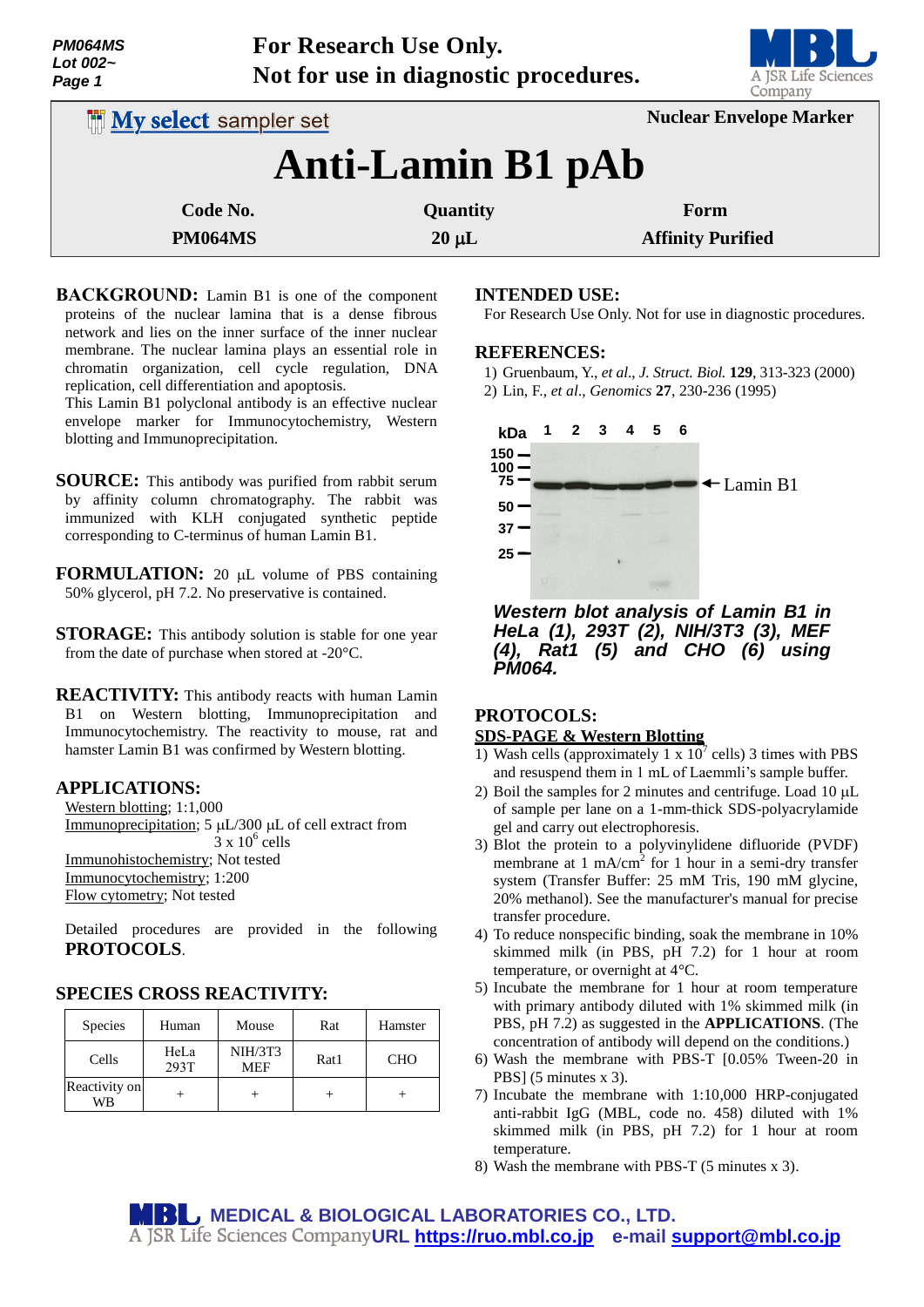| <b>PM064MS</b><br>Lot 002~<br>Page 1 | <b>For Research Use Only.</b><br>Not for use in diagnostic procedures. | A JSR Life Scien<br>Company |
|--------------------------------------|------------------------------------------------------------------------|-----------------------------|
| <b>My select sampler set</b>         | <b>Nuclear Envelope Marker</b>                                         |                             |
|                                      | <b>Anti-Lamin B1 pAb</b>                                               |                             |

| Code No.       | <b>Quantity</b> | Form                     |
|----------------|-----------------|--------------------------|
| <b>PM064MS</b> | $20 \mu L$      | <b>Affinity Purified</b> |

**BACKGROUND:** Lamin B1 is one of the component proteins of the nuclear lamina that is a dense fibrous network and lies on the inner surface of the inner nuclear membrane. The nuclear lamina plays an essential role in chromatin organization, cell cycle regulation, DNA replication, cell differentiation and apoptosis.

This Lamin B1 polyclonal antibody is an effective nuclear envelope marker for Immunocytochemistry, Western blotting and Immunoprecipitation.

**SOURCE:** This antibody was purified from rabbit serum by affinity column chromatography. The rabbit was immunized with KLH conjugated synthetic peptide corresponding to C-terminus of human Lamin B1.

**FORMULATION:** 20 µL volume of PBS containing 50% glycerol, pH 7.2. No preservative is contained.

**STORAGE:** This antibody solution is stable for one year from the date of purchase when stored at -20°C.

**REACTIVITY:** This antibody reacts with human Lamin B1 on Western blotting, Immunoprecipitation and Immunocytochemistry. The reactivity to mouse, rat and hamster Lamin B1 was confirmed by Western blotting.

## **APPLICATIONS:**

Western blotting; 1:1,000 Immunoprecipitation;  $5 \mu L/300 \mu L$  of cell extract from  $3 \times 10^6$  cells Immunohistochemistry; Not tested Immunocytochemistry; 1:200 Flow cytometry; Not tested

Detailed procedures are provided in the following **PROTOCOLS**.

# **SPECIES CROSS REACTIVITY:**

| <b>Species</b>      | Human        | Mouse                        | Rat  | Hamster    |
|---------------------|--------------|------------------------------|------|------------|
| Cells               | HeLa<br>293T | <b>NIH/3T3</b><br><b>MEF</b> | Rat1 | <b>CHO</b> |
| Reactivity on<br>WΒ |              |                              |      |            |

## **INTENDED USE:**

For Research Use Only. Not for use in diagnostic procedures.

## **REFERENCES:**

- 1) Gruenbaum, Y., *et al*., *J. Struct. Biol.* **129**, 313-323 (2000)
- 2) Lin, F., *et al*., *Genomics* **27**, 230-236 (1995)



*Western blot analysis of Lamin B1 in HeLa (1), 293T (2), NIH/3T3 (3), MEF (4), Rat1 (5) and CHO (6) using PM064.*

## **PROTOCOLS:**

## **SDS-PAGE & Western Blotting**

- 1) Wash cells (approximately 1 x  $10^7$  cells) 3 times with PBS and resuspend them in 1 mL of Laemmli's sample buffer.
- 2) Boil the samples for 2 minutes and centrifuge. Load  $10 \mu L$ of sample per lane on a 1-mm-thick SDS-polyacrylamide gel and carry out electrophoresis.
- 3) Blot the protein to a polyvinylidene difluoride (PVDF) membrane at  $1 \text{ mA/cm}^2$  for 1 hour in a semi-dry transfer system (Transfer Buffer: 25 mM Tris, 190 mM glycine, 20% methanol). See the manufacturer's manual for precise transfer procedure.
- 4) To reduce nonspecific binding, soak the membrane in 10% skimmed milk (in PBS, pH 7.2) for 1 hour at room temperature, or overnight at 4°C.
- 5) Incubate the membrane for 1 hour at room temperature with primary antibody diluted with 1% skimmed milk (in PBS, pH 7.2) as suggested in the **APPLICATIONS**. (The concentration of antibody will depend on the conditions.)
- 6) Wash the membrane with PBS-T [0.05% Tween-20 in PBS] (5 minutes x 3).
- 7) Incubate the membrane with 1:10,000 HRP-conjugated anti-rabbit IgG (MBL, code no. 458) diluted with 1% skimmed milk (in PBS, pH 7.2) for 1 hour at room temperature.
- 8) Wash the membrane with PBS-T (5 minutes x 3).